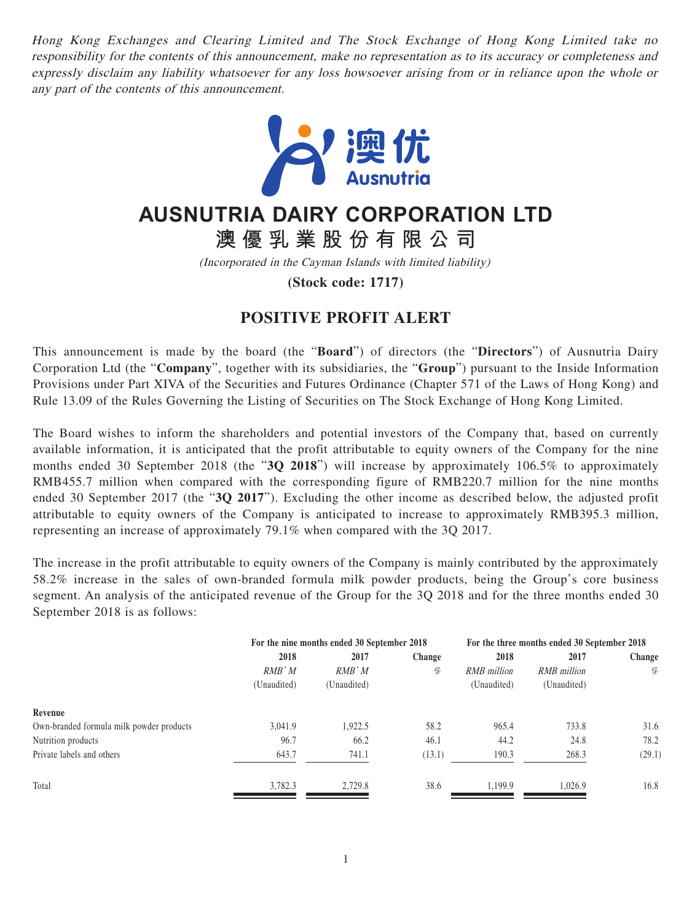Hong Kong Exchanges and Clearing Limited and The Stock Exchange of Hong Kong Limited take no responsibility for the contents of this announcement, make no representation as to its accuracy or completeness and expressly disclaim any liability whatsoever for any loss howsoever arising from or in reliance upon the whole or any part of the contents of this announcement.



## **AUSNUTRIA DAIRY CORPORATION LTD**

**澳優乳業股份有限公司**

(Incorporated in the Cayman Islands with limited liability)

**(Stock code: 1717)**

## **POSITIVE PROFIT ALERT**

This announcement is made by the board (the "**Board**") of directors (the "**Directors**") of Ausnutria Dairy Corporation Ltd (the "**Company**", together with its subsidiaries, the "**Group**") pursuant to the Inside Information Provisions under Part XIVA of the Securities and Futures Ordinance (Chapter 571 of the Laws of Hong Kong) and Rule 13.09 of the Rules Governing the Listing of Securities on The Stock Exchange of Hong Kong Limited.

The Board wishes to inform the shareholders and potential investors of the Company that, based on currently available information, it is anticipated that the profit attributable to equity owners of the Company for the nine months ended 30 September 2018 (the "**3Q 2018**") will increase by approximately 106.5% to approximately RMB455.7 million when compared with the corresponding figure of RMB220.7 million for the nine months ended 30 September 2017 (the "**3Q 2017**"). Excluding the other income as described below, the adjusted profit attributable to equity owners of the Company is anticipated to increase to approximately RMB395.3 million, representing an increase of approximately 79.1% when compared with the 3Q 2017.

The increase in the profit attributable to equity owners of the Company is mainly contributed by the approximately 58.2% increase in the sales of own-branded formula milk powder products, being the Group's core business segment. An analysis of the anticipated revenue of the Group for the 3Q 2018 and for the three months ended 30 September 2018 is as follows:

|                                          | For the nine months ended 30 September 2018 |             |        | For the three months ended 30 September 2018 |                    |        |
|------------------------------------------|---------------------------------------------|-------------|--------|----------------------------------------------|--------------------|--------|
|                                          | 2018                                        | 2017        | Change | 2018                                         | 2017               | Change |
|                                          | $RMB^*M$                                    | $RMB^*M$    | %      | <b>RMB</b> million                           | <b>RMB</b> million | %      |
|                                          | (Unaudited)                                 | (Unaudited) |        | (Unaudited)                                  | (Unaudited)        |        |
| Revenue                                  |                                             |             |        |                                              |                    |        |
| Own-branded formula milk powder products | 3,041.9                                     | 1,922.5     | 58.2   | 965.4                                        | 733.8              | 31.6   |
| Nutrition products                       | 96.7                                        | 66.2        | 46.1   | 44.2                                         | 24.8               | 78.2   |
| Private labels and others                | 643.7                                       | 741.1       | (13.1) | 190.3                                        | 268.3              | (29.1) |
| Total                                    | 3,782.3                                     | 2,729.8     | 38.6   | 1.199.9                                      | 1.026.9            | 16.8   |